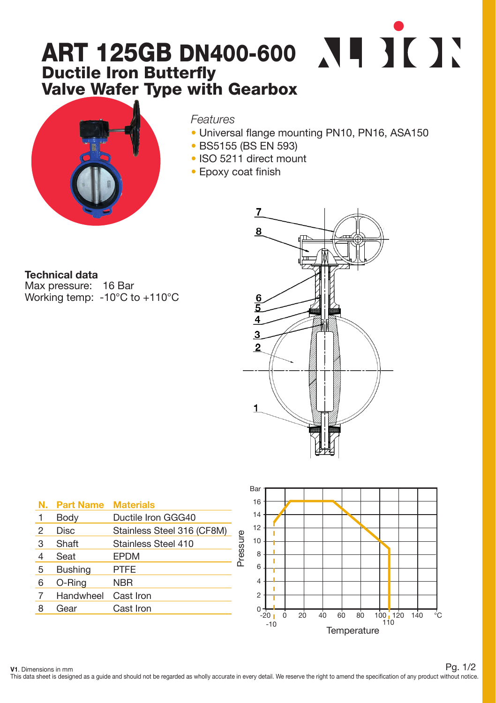## ART 125GB DN400-600 Ductile Iron Butterfly Valve Wafer Type with Gearbox



*Features*

- Universal flange mounting PN10, PN16, ASA150
- BS5155 (BS EN 593)
- ISO 5211 direct mount
- Epoxy coat finish

Technical data Max pressure: 16 Bar

Working temp: -10°C to +110°C



|   | N. Part Name   | <b>Materials</b>           |
|---|----------------|----------------------------|
| 1 | Body           | Ductile Iron GGG40         |
| 2 | Disc           | Stainless Steel 316 (CF8M) |
| 3 | Shaft          | Stainless Steel 410        |
| 4 | Seat           | <b>EPDM</b>                |
| 5 | <b>Bushing</b> | <b>PTFE</b>                |
| 6 | O-Ring         | <b>NBR</b>                 |
| 7 | Handwheel      | Cast Iron                  |
| 8 | Gear           | Cast Iron                  |
|   |                |                            |



V1. Dimensions in mm